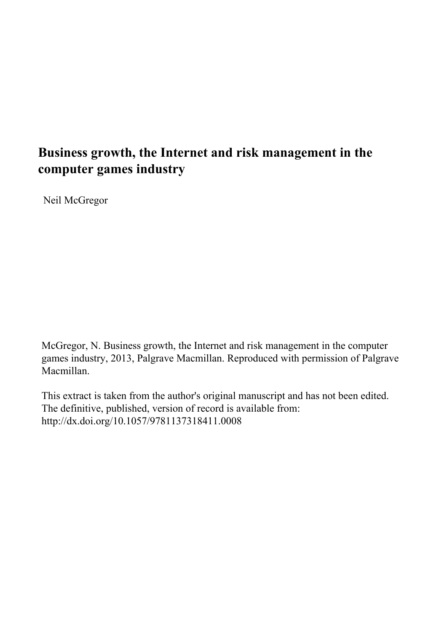# **Business growth, the Internet and risk management in the computer games industry**

Neil McGregor

McGregor, N. Business growth, the Internet and risk management in the computer games industry, 2013, Palgrave Macmillan. Reproduced with permission of Palgrave Macmillan.

This extract is taken from the author's original manuscript and has not been edited. The definitive, published, version of record is available from: http://dx.doi.org/10.1057/9781137318411.0008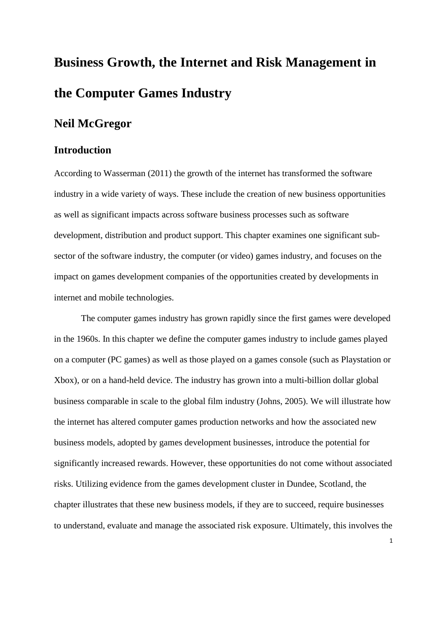# **Business Growth, the Internet and Risk Management in the Computer Games Industry**

## **Neil McGregor**

### **Introduction**

According to Wasserman (2011) the growth of the internet has transformed the software industry in a wide variety of ways. These include the creation of new business opportunities as well as significant impacts across software business processes such as software development, distribution and product support. This chapter examines one significant subsector of the software industry, the computer (or video) games industry, and focuses on the impact on games development companies of the opportunities created by developments in internet and mobile technologies.

The computer games industry has grown rapidly since the first games were developed in the 1960s. In this chapter we define the computer games industry to include games played on a computer (PC games) as well as those played on a games console (such as Playstation or Xbox), or on a hand-held device. The industry has grown into a multi-billion dollar global business comparable in scale to the global film industry (Johns, 2005). We will illustrate how the internet has altered computer games production networks and how the associated new business models, adopted by games development businesses, introduce the potential for significantly increased rewards. However, these opportunities do not come without associated risks. Utilizing evidence from the games development cluster in Dundee, Scotland, the chapter illustrates that these new business models, if they are to succeed, require businesses to understand, evaluate and manage the associated risk exposure. Ultimately, this involves the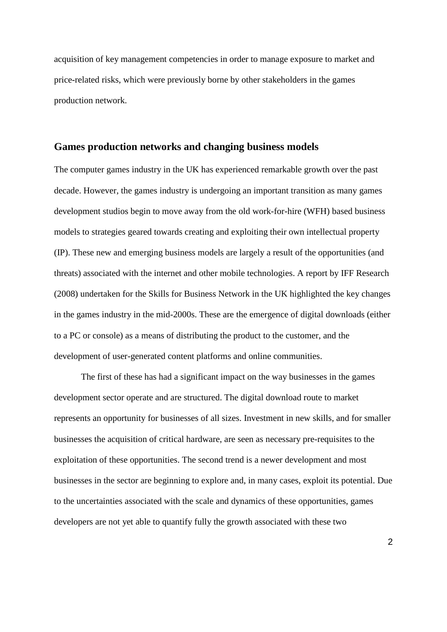acquisition of key management competencies in order to manage exposure to market and price-related risks, which were previously borne by other stakeholders in the games production network.

#### **Games production networks and changing business models**

The computer games industry in the UK has experienced remarkable growth over the past decade. However, the games industry is undergoing an important transition as many games development studios begin to move away from the old work-for-hire (WFH) based business models to strategies geared towards creating and exploiting their own intellectual property (IP). These new and emerging business models are largely a result of the opportunities (and threats) associated with the internet and other mobile technologies. A report by IFF Research (2008) undertaken for the Skills for Business Network in the UK highlighted the key changes in the games industry in the mid-2000s. These are the emergence of digital downloads (either to a PC or console) as a means of distributing the product to the customer, and the development of user-generated content platforms and online communities.

The first of these has had a significant impact on the way businesses in the games development sector operate and are structured. The digital download route to market represents an opportunity for businesses of all sizes. Investment in new skills, and for smaller businesses the acquisition of critical hardware, are seen as necessary pre-requisites to the exploitation of these opportunities. The second trend is a newer development and most businesses in the sector are beginning to explore and, in many cases, exploit its potential. Due to the uncertainties associated with the scale and dynamics of these opportunities, games developers are not yet able to quantify fully the growth associated with these two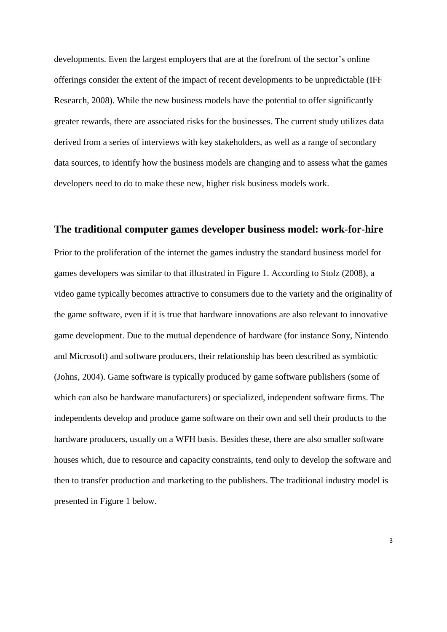developments. Even the largest employers that are at the forefront of the sector's online offerings consider the extent of the impact of recent developments to be unpredictable (IFF Research, 2008). While the new business models have the potential to offer significantly greater rewards, there are associated risks for the businesses. The current study utilizes data derived from a series of interviews with key stakeholders, as well as a range of secondary data sources, to identify how the business models are changing and to assess what the games developers need to do to make these new, higher risk business models work.

#### **The traditional computer games developer business model: work-for-hire**

Prior to the proliferation of the internet the games industry the standard business model for games developers was similar to that illustrated in Figure 1. According to Stolz (2008), a video game typically becomes attractive to consumers due to the variety and the originality of the game software, even if it is true that hardware innovations are also relevant to innovative game development. Due to the mutual dependence of hardware (for instance Sony, Nintendo and Microsoft) and software producers, their relationship has been described as symbiotic (Johns, 2004). Game software is typically produced by game software publishers (some of which can also be hardware manufacturers) or specialized, independent software firms. The independents develop and produce game software on their own and sell their products to the hardware producers, usually on a WFH basis. Besides these, there are also smaller software houses which, due to resource and capacity constraints, tend only to develop the software and then to transfer production and marketing to the publishers. The traditional industry model is presented in Figure 1 below.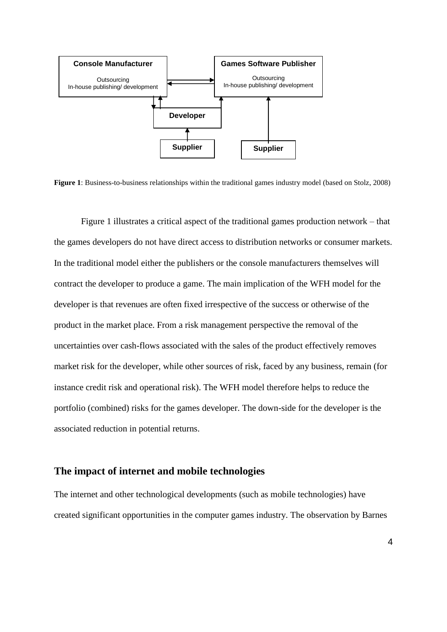

**Figure 1**: Business-to-business relationships within the traditional games industry model (based on Stolz, 2008)

Figure 1 illustrates a critical aspect of the traditional games production network – that the games developers do not have direct access to distribution networks or consumer markets. In the traditional model either the publishers or the console manufacturers themselves will contract the developer to produce a game. The main implication of the WFH model for the developer is that revenues are often fixed irrespective of the success or otherwise of the product in the market place. From a risk management perspective the removal of the uncertainties over cash-flows associated with the sales of the product effectively removes market risk for the developer, while other sources of risk, faced by any business, remain (for instance credit risk and operational risk). The WFH model therefore helps to reduce the portfolio (combined) risks for the games developer. The down-side for the developer is the associated reduction in potential returns.

#### **The impact of internet and mobile technologies**

The internet and other technological developments (such as mobile technologies) have created significant opportunities in the computer games industry. The observation by Barnes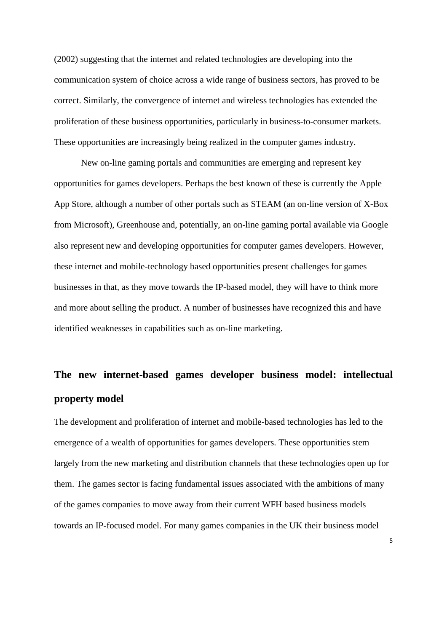(2002) suggesting that the internet and related technologies are developing into the communication system of choice across a wide range of business sectors, has proved to be correct. Similarly, the convergence of internet and wireless technologies has extended the proliferation of these business opportunities, particularly in business-to-consumer markets. These opportunities are increasingly being realized in the computer games industry.

New on-line gaming portals and communities are emerging and represent key opportunities for games developers. Perhaps the best known of these is currently the Apple App Store, although a number of other portals such as STEAM (an on-line version of X-Box from Microsoft), Greenhouse and, potentially, an on-line gaming portal available via Google also represent new and developing opportunities for computer games developers. However, these internet and mobile-technology based opportunities present challenges for games businesses in that, as they move towards the IP-based model, they will have to think more and more about selling the product. A number of businesses have recognized this and have identified weaknesses in capabilities such as on-line marketing.

# **The new internet-based games developer business model: intellectual property model**

The development and proliferation of internet and mobile-based technologies has led to the emergence of a wealth of opportunities for games developers. These opportunities stem largely from the new marketing and distribution channels that these technologies open up for them. The games sector is facing fundamental issues associated with the ambitions of many of the games companies to move away from their current WFH based business models towards an IP-focused model. For many games companies in the UK their business model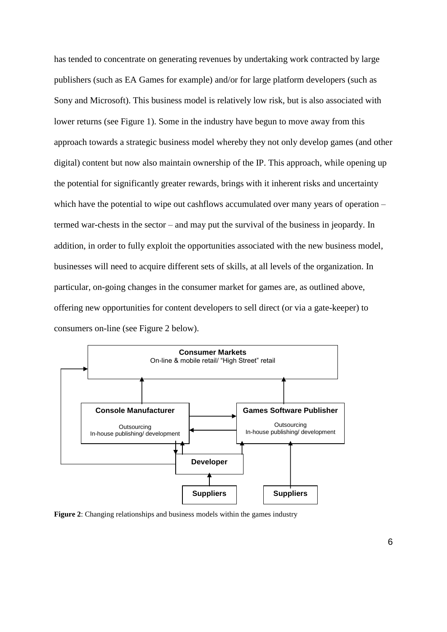has tended to concentrate on generating revenues by undertaking work contracted by large publishers (such as EA Games for example) and/or for large platform developers (such as Sony and Microsoft). This business model is relatively low risk, but is also associated with lower returns (see Figure 1). Some in the industry have begun to move away from this approach towards a strategic business model whereby they not only develop games (and other digital) content but now also maintain ownership of the IP. This approach, while opening up the potential for significantly greater rewards, brings with it inherent risks and uncertainty which have the potential to wipe out cashflows accumulated over many years of operation – termed war-chests in the sector – and may put the survival of the business in jeopardy. In addition, in order to fully exploit the opportunities associated with the new business model, businesses will need to acquire different sets of skills, at all levels of the organization. In particular, on-going changes in the consumer market for games are, as outlined above, offering new opportunities for content developers to sell direct (or via a gate-keeper) to consumers on-line (see Figure 2 below).



**Figure 2**: Changing relationships and business models within the games industry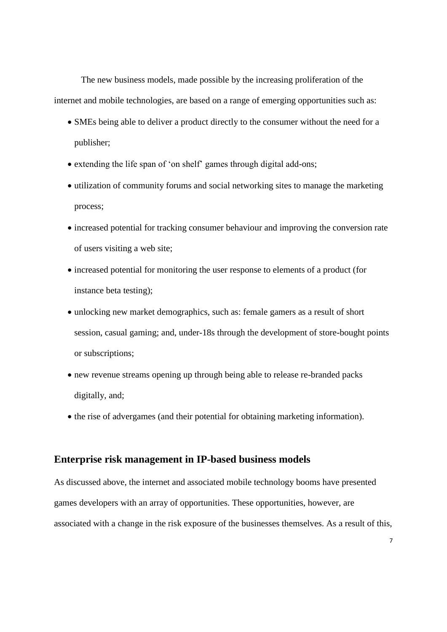The new business models, made possible by the increasing proliferation of the internet and mobile technologies, are based on a range of emerging opportunities such as:

- SMEs being able to deliver a product directly to the consumer without the need for a publisher;
- extending the life span of 'on shelf' games through digital add-ons;
- utilization of community forums and social networking sites to manage the marketing process;
- increased potential for tracking consumer behaviour and improving the conversion rate of users visiting a web site;
- increased potential for monitoring the user response to elements of a product (for instance beta testing);
- unlocking new market demographics, such as: female gamers as a result of short session, casual gaming; and, under-18s through the development of store-bought points or subscriptions;
- new revenue streams opening up through being able to release re-branded packs digitally, and;
- the rise of advergames (and their potential for obtaining marketing information).

#### **Enterprise risk management in IP-based business models**

As discussed above, the internet and associated mobile technology booms have presented games developers with an array of opportunities. These opportunities, however, are associated with a change in the risk exposure of the businesses themselves. As a result of this,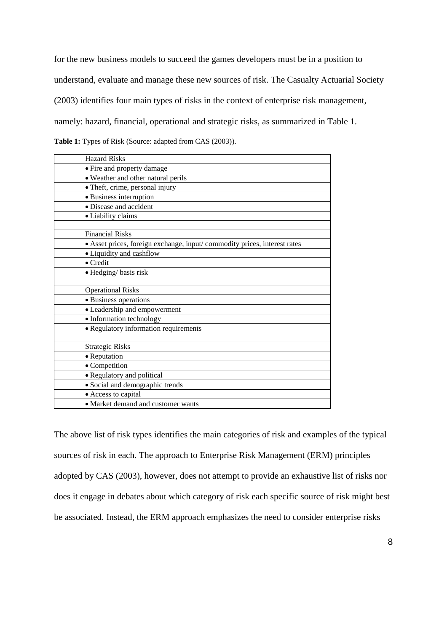for the new business models to succeed the games developers must be in a position to understand, evaluate and manage these new sources of risk. The Casualty Actuarial Society (2003) identifies four main types of risks in the context of enterprise risk management, namely: hazard, financial, operational and strategic risks, as summarized in Table 1. **Table 1:** Types of Risk (Source: adapted from CAS (2003)).

The above list of risk types identifies the main categories of risk and examples of the typical sources of risk in each. The approach to Enterprise Risk Management (ERM) principles adopted by CAS (2003), however, does not attempt to provide an exhaustive list of risks nor does it engage in debates about which category of risk each specific source of risk might best be associated. Instead, the ERM approach emphasizes the need to consider enterprise risks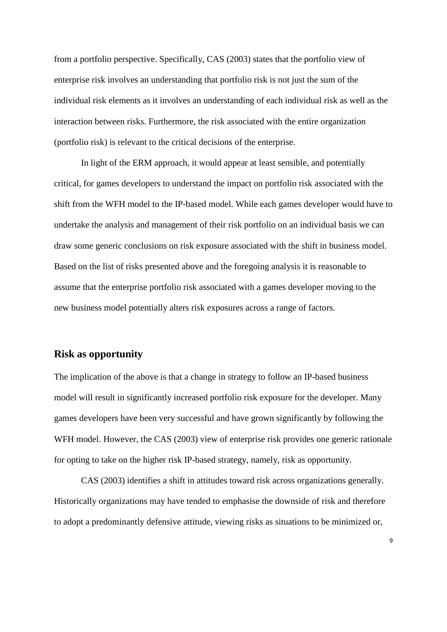from a portfolio perspective. Specifically, CAS (2003) states that the portfolio view of enterprise risk involves an understanding that portfolio risk is not just the sum of the individual risk elements as it involves an understanding of each individual risk as well as the interaction between risks. Furthermore, the risk associated with the entire organization (portfolio risk) is relevant to the critical decisions of the enterprise.

In light of the ERM approach, it would appear at least sensible, and potentially critical, for games developers to understand the impact on portfolio risk associated with the shift from the WFH model to the IP-based model. While each games developer would have to undertake the analysis and management of their risk portfolio on an individual basis we can draw some generic conclusions on risk exposure associated with the shift in business model. Based on the list of risks presented above and the foregoing analysis it is reasonable to assume that the enterprise portfolio risk associated with a games developer moving to the new business model potentially alters risk exposures across a range of factors.

#### **Risk as opportunity**

The implication of the above is that a change in strategy to follow an IP-based business model will result in significantly increased portfolio risk exposure for the developer. Many games developers have been very successful and have grown significantly by following the WFH model. However, the CAS (2003) view of enterprise risk provides one generic rationale for opting to take on the higher risk IP-based strategy, namely, risk as opportunity.

CAS (2003) identifies a shift in attitudes toward risk across organizations generally. Historically organizations may have tended to emphasise the downside of risk and therefore to adopt a predominantly defensive attitude, viewing risks as situations to be minimized or,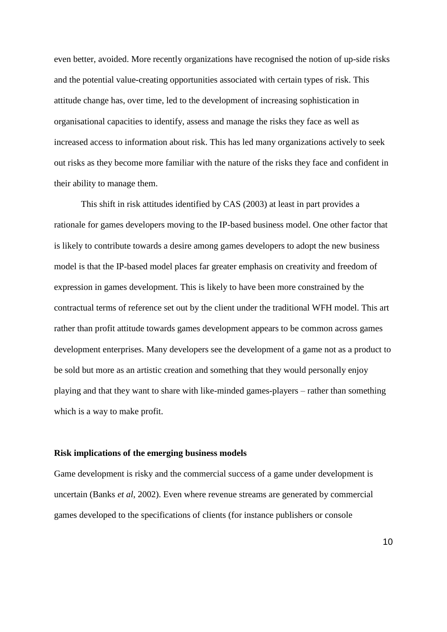even better, avoided. More recently organizations have recognised the notion of up-side risks and the potential value-creating opportunities associated with certain types of risk. This attitude change has, over time, led to the development of increasing sophistication in organisational capacities to identify, assess and manage the risks they face as well as increased access to information about risk. This has led many organizations actively to seek out risks as they become more familiar with the nature of the risks they face and confident in their ability to manage them.

This shift in risk attitudes identified by CAS (2003) at least in part provides a rationale for games developers moving to the IP-based business model. One other factor that is likely to contribute towards a desire among games developers to adopt the new business model is that the IP-based model places far greater emphasis on creativity and freedom of expression in games development. This is likely to have been more constrained by the contractual terms of reference set out by the client under the traditional WFH model. This art rather than profit attitude towards games development appears to be common across games development enterprises. Many developers see the development of a game not as a product to be sold but more as an artistic creation and something that they would personally enjoy playing and that they want to share with like-minded games-players – rather than something which is a way to make profit.

#### **Risk implications of the emerging business models**

Game development is risky and the commercial success of a game under development is uncertain (Banks *et al*, 2002). Even where revenue streams are generated by commercial games developed to the specifications of clients (for instance publishers or console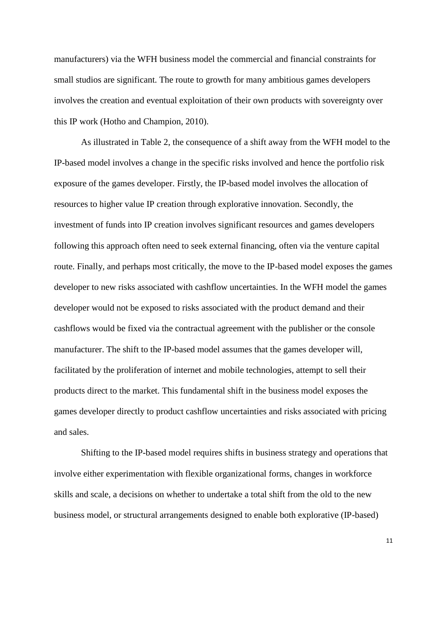manufacturers) via the WFH business model the commercial and financial constraints for small studios are significant. The route to growth for many ambitious games developers involves the creation and eventual exploitation of their own products with sovereignty over this IP work (Hotho and Champion, 2010).

As illustrated in Table 2, the consequence of a shift away from the WFH model to the IP-based model involves a change in the specific risks involved and hence the portfolio risk exposure of the games developer. Firstly, the IP-based model involves the allocation of resources to higher value IP creation through explorative innovation. Secondly, the investment of funds into IP creation involves significant resources and games developers following this approach often need to seek external financing, often via the venture capital route. Finally, and perhaps most critically, the move to the IP-based model exposes the games developer to new risks associated with cashflow uncertainties. In the WFH model the games developer would not be exposed to risks associated with the product demand and their cashflows would be fixed via the contractual agreement with the publisher or the console manufacturer. The shift to the IP-based model assumes that the games developer will, facilitated by the proliferation of internet and mobile technologies, attempt to sell their products direct to the market. This fundamental shift in the business model exposes the games developer directly to product cashflow uncertainties and risks associated with pricing and sales.

Shifting to the IP-based model requires shifts in business strategy and operations that involve either experimentation with flexible organizational forms, changes in workforce skills and scale, a decisions on whether to undertake a total shift from the old to the new business model, or structural arrangements designed to enable both explorative (IP-based)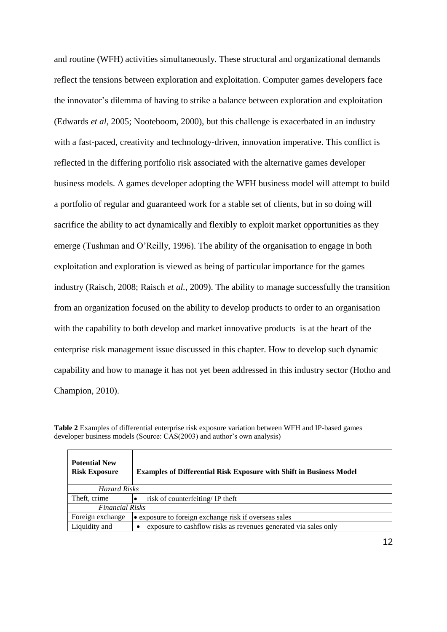and routine (WFH) activities simultaneously. These structural and organizational demands reflect the tensions between exploration and exploitation. Computer games developers face the innovator's dilemma of having to strike a balance between exploration and exploitation (Edwards *et al,* 2005; Nooteboom, 2000), but this challenge is exacerbated in an industry with a fast-paced, creativity and technology-driven, innovation imperative. This conflict is reflected in the differing portfolio risk associated with the alternative games developer business models. A games developer adopting the WFH business model will attempt to build a portfolio of regular and guaranteed work for a stable set of clients, but in so doing will sacrifice the ability to act dynamically and flexibly to exploit market opportunities as they emerge (Tushman and O'Reilly, 1996). The ability of the organisation to engage in both exploitation and exploration is viewed as being of particular importance for the games industry (Raisch, 2008; Raisch *et al.*, 2009). The ability to manage successfully the transition from an organization focused on the ability to develop products to order to an organisation with the capability to both develop and market innovative products is at the heart of the enterprise risk management issue discussed in this chapter. How to develop such dynamic capability and how to manage it has not yet been addressed in this industry sector (Hotho and Champion, 2010).

**Table 2** Examples of differential enterprise risk exposure variation between WFH and IP-based games developer business models (Source: CAS(2003) and author's own analysis)

| <b>Examples of Differential Risk Exposure with Shift in Business Model</b> |  |
|----------------------------------------------------------------------------|--|
| Hazard Risks                                                               |  |
| risk of counterfeiting/ IP theft                                           |  |
| <b>Financial Risks</b>                                                     |  |
| • exposure to foreign exchange risk if overseas sales                      |  |
| exposure to cashflow risks as revenues generated via sales only            |  |
|                                                                            |  |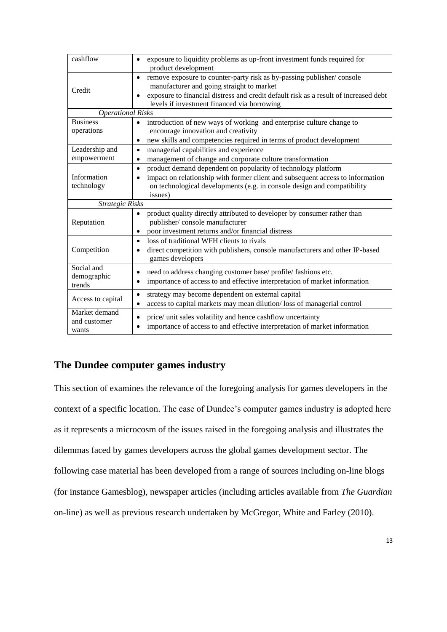| cashflow                               | exposure to liquidity problems as up-front investment funds required for<br>$\bullet$<br>product development                                                                                                                                                           |  |
|----------------------------------------|------------------------------------------------------------------------------------------------------------------------------------------------------------------------------------------------------------------------------------------------------------------------|--|
| Credit                                 | remove exposure to counter-party risk as by-passing publisher/console<br>$\bullet$<br>manufacturer and going straight to market<br>exposure to financial distress and credit default risk as a result of increased debt<br>levels if investment financed via borrowing |  |
| <b>Operational Risks</b>               |                                                                                                                                                                                                                                                                        |  |
| <b>Business</b><br>operations          | introduction of new ways of working and enterprise culture change to<br>encourage innovation and creativity<br>new skills and competencies required in terms of product development<br>٠                                                                               |  |
| Leadership and<br>empowerment          | managerial capabilities and experience<br>$\bullet$<br>management of change and corporate culture transformation<br>$\bullet$                                                                                                                                          |  |
| Information<br>technology              | product demand dependent on popularity of technology platform<br>$\bullet$<br>impact on relationship with former client and subsequent access to information<br>on technological developments (e.g. in console design and compatibility<br>issues)                     |  |
| <b>Strategic Risks</b>                 |                                                                                                                                                                                                                                                                        |  |
| Reputation                             | product quality directly attributed to developer by consumer rather than<br>publisher/console manufacturer<br>poor investment returns and/or financial distress<br>٠                                                                                                   |  |
| Competition                            | loss of traditional WFH clients to rivals<br>$\bullet$<br>direct competition with publishers, console manufacturers and other IP-based<br>games developers                                                                                                             |  |
| Social and<br>demographic<br>trends    | need to address changing customer base/ profile/ fashions etc.<br>importance of access to and effective interpretation of market information                                                                                                                           |  |
| Access to capital                      | strategy may become dependent on external capital<br>$\bullet$<br>access to capital markets may mean dilution/loss of managerial control<br>$\bullet$                                                                                                                  |  |
| Market demand<br>and customer<br>wants | price/ unit sales volatility and hence cashflow uncertainty<br>importance of access to and effective interpretation of market information                                                                                                                              |  |

## **The Dundee computer games industry**

This section of examines the relevance of the foregoing analysis for games developers in the context of a specific location. The case of Dundee's computer games industry is adopted here as it represents a microcosm of the issues raised in the foregoing analysis and illustrates the dilemmas faced by games developers across the global games development sector. The following case material has been developed from a range of sources including on-line blogs (for instance Gamesblog), newspaper articles (including articles available from *The Guardian* on-line) as well as previous research undertaken by McGregor, White and Farley (2010).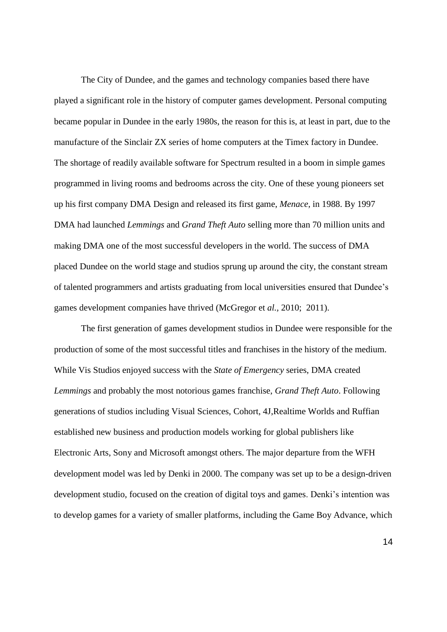The City of Dundee, and the games and technology companies based there have played a significant role in the history of computer games development. Personal computing became popular in Dundee in the early 1980s, the reason for this is, at least in part, due to the manufacture of the Sinclair ZX series of home computers at the Timex factory in Dundee. The shortage of readily available software for Spectrum resulted in a boom in simple games programmed in living rooms and bedrooms across the city. One of these young pioneers set up his first company DMA Design and released its first game, *Menace*, in 1988. By 1997 DMA had launched *Lemmings* and *Grand Theft Auto* selling more than 70 million units and making DMA one of the most successful developers in the world. The success of DMA placed Dundee on the world stage and studios sprung up around the city, the constant stream of talented programmers and artists graduating from local universities ensured that Dundee's games development companies have thrived (McGregor et *al.,* 2010; 2011).

The first generation of games development studios in Dundee were responsible for the production of some of the most successful titles and franchises in the history of the medium. While Vis Studios enjoyed success with the *State of Emergency* series, DMA created *Lemmings* and probably the most notorious games franchise, *Grand Theft Auto*. Following generations of studios including Visual Sciences, Cohort, 4J,Realtime Worlds and Ruffian established new business and production models working for global publishers like Electronic Arts, Sony and Microsoft amongst others. The major departure from the WFH development model was led by Denki in 2000. The company was set up to be a design-driven development studio, focused on the creation of digital toys and games. Denki's intention was to develop games for a variety of smaller platforms, including the [Game Boy Advance,](http://en.wikipedia.org/wiki/Game_Boy_Advance) which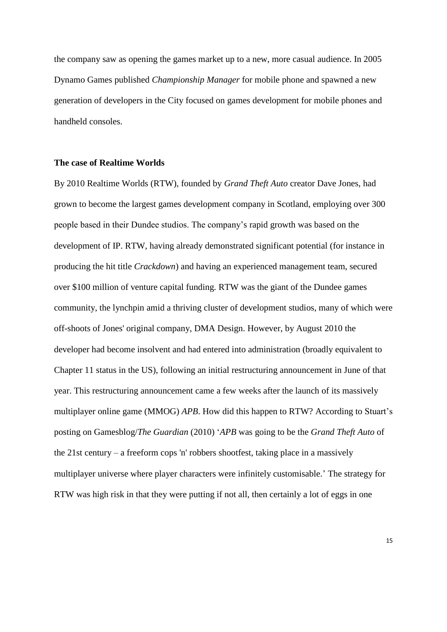the company saw as opening the games market up to a new, more casual audience. In 2005 Dynamo Games published *Championship Manager* for mobile phone and spawned a new generation of developers in the City focused on games development for mobile phones and handheld consoles.

#### **The case of Realtime Worlds**

By 2010 Realtime Worlds (RTW), founded by *Grand Theft Auto* creator Dave Jones, had grown to become the largest games development company in Scotland, employing over 300 people based in their Dundee studios. The company's rapid growth was based on the development of IP. RTW, having already demonstrated significant potential (for instance in producing the hit title *Crackdown*) and having an experienced management team, secured over \$100 million of venture capital funding. RTW was the giant of the Dundee [games](http://www.guardian.co.uk/technology/games) community, the lynchpin amid a thriving cluster of development studios, many of which were off-shoots of Jones' original company, DMA Design. However, by August 2010 the developer had become insolvent and had entered into administration (broadly equivalent to Chapter 11 status in the US), following an initial restructuring announcement in June of that year. This restructuring announcement came a few weeks after the launch of its massively multiplayer online game (MMOG) *APB*. How did this happen to RTW? According to Stuart's posting on Gamesblog/*The Guardian* (2010) '*APB* was going to be the *Grand Theft Auto* of the 21st century – a freeform cops 'n' robbers shootfest, taking place in a massively multiplayer universe where player characters were infinitely customisable.' The strategy for RTW was high risk in that they were putting if not all, then certainly a lot of eggs in one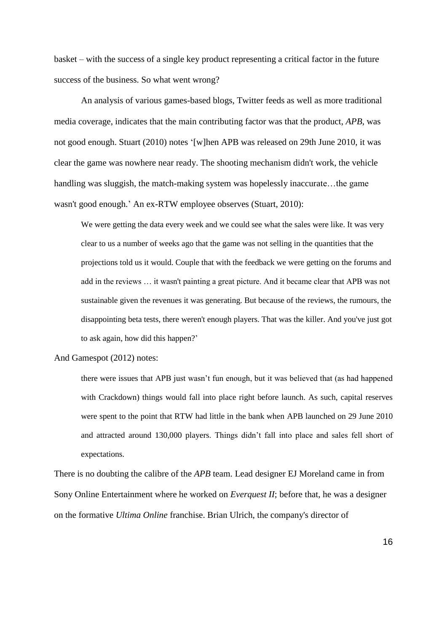basket – with the success of a single key product representing a critical factor in the future success of the business. So what went wrong?

An analysis of various games-based blogs, Twitter feeds as well as more traditional media coverage, indicates that the main contributing factor was that the product, *APB*, was not good enough. Stuart (2010) notes '[w]hen APB was released on 29th June 2010, it was clear the game was nowhere near ready. The shooting mechanism didn't work, the vehicle handling was sluggish, the match-making system was hopelessly inaccurate…the game wasn't good enough.' An ex-RTW employee observes (Stuart, 2010):

We were getting the data every week and we could see what the sales were like. It was very clear to us a number of weeks ago that the game was not selling in the quantities that the projections told us it would. Couple that with the feedback we were getting on the forums and add in the reviews … it wasn't painting a great picture. And it became clear that APB was not sustainable given the revenues it was generating. But because of the reviews, the rumours, the disappointing beta tests, there weren't enough players. That was the killer. And you've just got to ask again, how did this happen?'

And Gamespot (2012) notes:

there were issues that APB just wasn't fun enough, but it was believed that (as had happened with Crackdown) things would fall into place right before launch. As such, capital reserves were spent to the point that RTW had little in the bank when [APB launched on 29 June 2010](http://www.guardian.co.uk/technology/gamesblog/2010/aug/27/realtime-worlds-collapse)  [and attracted around 130,000 players.](http://www.guardian.co.uk/technology/gamesblog/2010/aug/27/realtime-worlds-collapse) Things didn't fall into place and sales fell short of expectations.

There is no doubting the calibre of the *APB* team. Lead designer EJ Moreland came in from Sony Online Entertainment where he worked on *Everquest II*; before that, he was a designer on the formative *Ultima Online* franchise. Brian Ulrich, the company's director of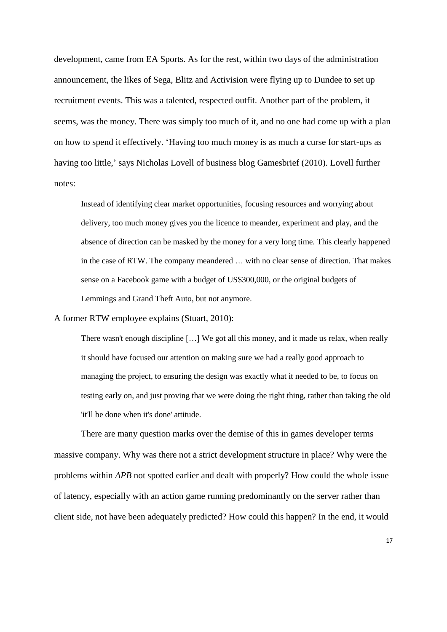development, came from EA Sports. As for the rest, within two days of the administration announcement, the likes of Sega, Blitz and Activision were flying up to Dundee to set up recruitment events. This was a talented, respected outfit. Another part of the problem, it seems, was the money. There was simply too much of it, and no one had come up with a plan on how to spend it effectively. 'Having too much money is as much a curse for start-ups as having too little,' says Nicholas Lovell of business blog [Gamesbrief](http://www.gamesbrief.com/) (2010). Lovell further notes:

Instead of identifying clear market opportunities, focusing resources and worrying about delivery, too much money gives you the licence to meander, experiment and play, and the absence of direction can be masked by the money for a very long time. This clearly happened in the case of RTW. The company meandered … with no clear sense of direction. That makes sense on a Facebook game with a budget of US\$300,000, or the original budgets of Lemmings and Grand Theft Auto, but not anymore.

A former RTW employee explains (Stuart, 2010):

There wasn't enough discipline […] We got all this money, and it made us relax, when really it should have focused our attention on making sure we had a really good approach to managing the project, to ensuring the design was exactly what it needed to be, to focus on testing early on, and just proving that we were doing the right thing, rather than taking the old 'it'll be done when it's done' attitude.

There are many question marks over the demise of this in games developer terms massive company. Why was there not a strict development structure in place? Why were the problems within *APB* not spotted earlier and dealt with properly? How could the whole issue of latency, especially with an action game running predominantly on the server rather than client side, not have been adequately predicted? How could this happen? In the end, it would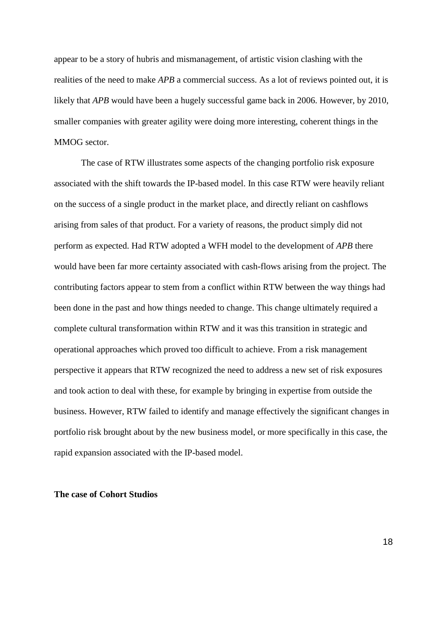appear to be a story of hubris and mismanagement, of artistic vision clashing with the realities of the need to make *APB* a commercial success. As a lot of reviews pointed out, it is likely that *APB* would have been a hugely successful game back in 2006. However, by 2010, smaller companies with greater agility were doing more interesting, coherent things in the MMOG sector.

The case of RTW illustrates some aspects of the changing portfolio risk exposure associated with the shift towards the IP-based model. In this case RTW were heavily reliant on the success of a single product in the market place, and directly reliant on cashflows arising from sales of that product. For a variety of reasons, the product simply did not perform as expected. Had RTW adopted a WFH model to the development of *APB* there would have been far more certainty associated with cash-flows arising from the project. The contributing factors appear to stem from a conflict within RTW between the way things had been done in the past and how things needed to change. This change ultimately required a complete cultural transformation within RTW and it was this transition in strategic and operational approaches which proved too difficult to achieve. From a risk management perspective it appears that RTW recognized the need to address a new set of risk exposures and took action to deal with these, for example by bringing in expertise from outside the business. However, RTW failed to identify and manage effectively the significant changes in portfolio risk brought about by the new business model, or more specifically in this case, the rapid expansion associated with the IP-based model.

#### **The case of Cohort Studios**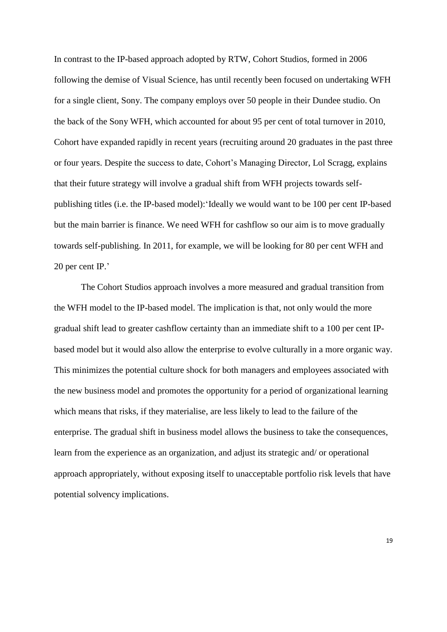In contrast to the IP-based approach adopted by RTW, Cohort Studios, formed in 2006 following the demise of Visual Science, has until recently been focused on undertaking WFH for a single client, Sony. The company employs over 50 people in their Dundee studio. On the back of the Sony WFH, which accounted for about 95 per cent of total turnover in 2010, Cohort have expanded rapidly in recent years (recruiting around 20 graduates in the past three or four years. Despite the success to date, Cohort's Managing Director, Lol Scragg, explains that their future strategy will involve a gradual shift from WFH projects towards selfpublishing titles (i.e. the IP-based model):'Ideally we would want to be 100 per cent IP-based but the main barrier is finance. We need WFH for cashflow so our aim is to move gradually towards self-publishing. In 2011, for example, we will be looking for 80 per cent WFH and 20 per cent IP.'

The Cohort Studios approach involves a more measured and gradual transition from the WFH model to the IP-based model. The implication is that, not only would the more gradual shift lead to greater cashflow certainty than an immediate shift to a 100 per cent IPbased model but it would also allow the enterprise to evolve culturally in a more organic way. This minimizes the potential culture shock for both managers and employees associated with the new business model and promotes the opportunity for a period of organizational learning which means that risks, if they materialise, are less likely to lead to the failure of the enterprise. The gradual shift in business model allows the business to take the consequences, learn from the experience as an organization, and adjust its strategic and/ or operational approach appropriately, without exposing itself to unacceptable portfolio risk levels that have potential solvency implications.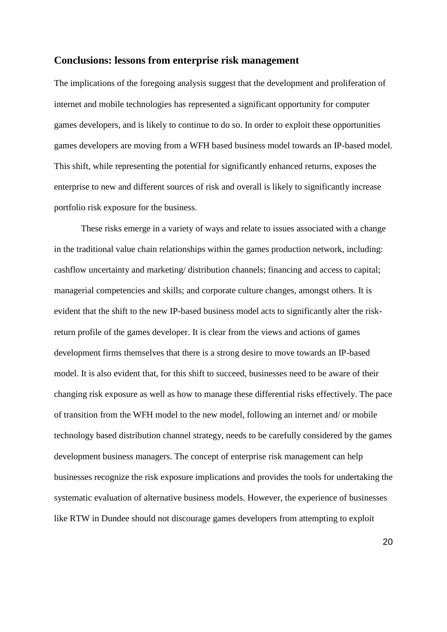#### **Conclusions: lessons from enterprise risk management**

The implications of the foregoing analysis suggest that the development and proliferation of internet and mobile technologies has represented a significant opportunity for computer games developers, and is likely to continue to do so. In order to exploit these opportunities games developers are moving from a WFH based business model towards an IP-based model. This shift, while representing the potential for significantly enhanced returns, exposes the enterprise to new and different sources of risk and overall is likely to significantly increase portfolio risk exposure for the business.

These risks emerge in a variety of ways and relate to issues associated with a change in the traditional value chain relationships within the games production network, including: cashflow uncertainty and marketing/ distribution channels; financing and access to capital; managerial competencies and skills; and corporate culture changes, amongst others. It is evident that the shift to the new IP-based business model acts to significantly alter the riskreturn profile of the games developer. It is clear from the views and actions of games development firms themselves that there is a strong desire to move towards an IP-based model. It is also evident that, for this shift to succeed, businesses need to be aware of their changing risk exposure as well as how to manage these differential risks effectively. The pace of transition from the WFH model to the new model, following an internet and/ or mobile technology based distribution channel strategy, needs to be carefully considered by the games development business managers. The concept of enterprise risk management can help businesses recognize the risk exposure implications and provides the tools for undertaking the systematic evaluation of alternative business models. However, the experience of businesses like RTW in Dundee should not discourage games developers from attempting to exploit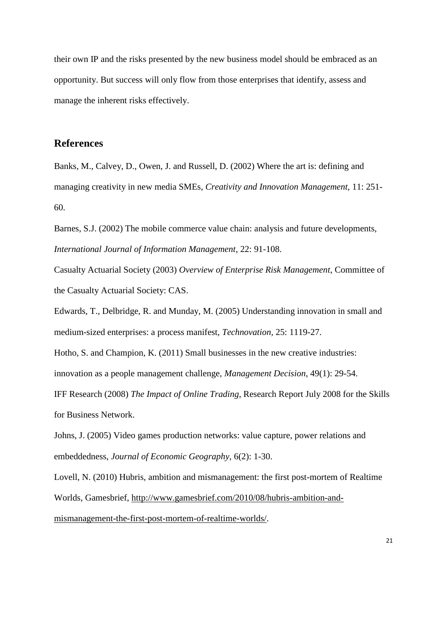their own IP and the risks presented by the new business model should be embraced as an opportunity. But success will only flow from those enterprises that identify, assess and manage the inherent risks effectively.

#### **References**

Banks, M., Calvey, D., Owen, J. and Russell, D. (2002) [Where the art is: defining and](http://papers.ssrn.com/sol3/papers.cfm?abstract_id=368763)  [managing creativity in new media SMEs,](http://papers.ssrn.com/sol3/papers.cfm?abstract_id=368763) *Creativity and Innovation Management,* 11: 251- 60.

Barnes, S.J. (2002) The mobile commerce value chain: analysis and future developments, *International Journal of Information Management*, 22: 91-108.

Casualty Actuarial Society (2003) *Overview of Enterprise Risk Management*, Committee of the Casualty Actuarial Society: CAS.

Edwards, T., Delbridge, R. and Munday, M. (2005) Understanding innovation in small and medium-sized enterprises: a process manifest, *Technovation,* 25: 1119-27.

Hotho, S. and Champion, K. (2011) Small businesses in the new creative industries:

innovation as a people management challenge, *Management Decision*, 49(1): 29-54.

IFF Research (2008) *The Impact of Online Trading*, Research Report July 2008 for the Skills for Business Network.

Johns, J. (2005) Video games production networks: value capture, power relations and embeddedness, *Journal of Economic Geography*, 6(2): 1-30.

Lovell, N. (2010) Hubris, ambition and mismanagement: the first post-mortem of Realtime Worlds, Gamesbrief, [http://www.gamesbrief.com/2010/08/hubris-ambition-and](http://www.gamesbrief.com/2010/08/hubris-ambition-and-mismanagement-the-first-post-mortem-of-realtime-worlds/)[mismanagement-the-first-post-mortem-of-realtime-worlds/.](http://www.gamesbrief.com/2010/08/hubris-ambition-and-mismanagement-the-first-post-mortem-of-realtime-worlds/)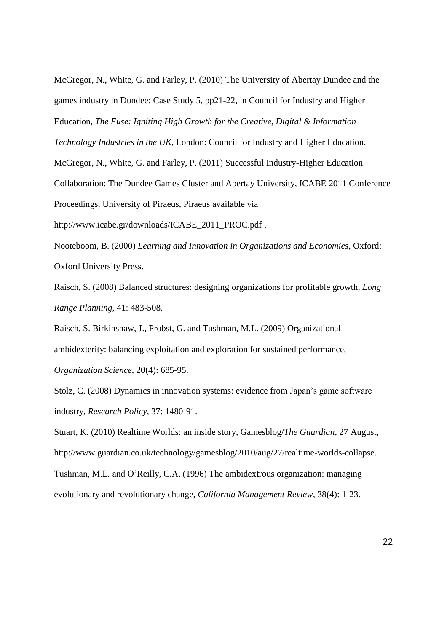McGregor, N., White, G. and Farley, P. (2010) The University of Abertay Dundee and the games industry in Dundee: Case Study 5, pp21-22, in Council for Industry and Higher Education*, The Fuse: Igniting High Growth for the Creative, Digital & Information* 

*Technology Industries in the UK*, London: Council for Industry and Higher Education.

McGregor, N., White, G. and Farley, P. (2011) Successful Industry-Higher Education

Collaboration: The Dundee Games Cluster and Abertay University, ICABE 2011 Conference

Proceedings, University of Piraeus, Piraeus available via

[http://www.icabe.gr/downloads/ICABE\\_2011\\_PROC.pdf](http://www.icabe.gr/downloads/ICABE_2011_PROC.pdf) .

Nooteboom, B. (2000) *Learning and Innovation in Organizations and Economies,* Oxford: Oxford University Press.

Raisch, S. (2008) Balanced structures: designing organizations for profitable growth, *Long Range Planning*, 41: 483-508.

Raisch, S. Birkinshaw, J., Probst, G. and Tushman, M.L. (2009) Organizational ambidexterity: balancing exploitation and exploration for sustained performance, *Organization Science*, 20(4): 685-95.

Stolz, C. (2008) Dynamics in innovation systems: evidence from Japan's game software industry, *Research Policy*, 37: 1480-91.

Stuart, K. (2010) Realtime Worlds: an inside story, Gamesblog/*The Guardian,* 27 August, [http://www.guardian.co.uk/technology/gamesblog/2010/aug/27/realtime-worlds-collapse.](http://www.guardian.co.uk/technology/gamesblog/2010/aug/27/realtime-worlds-collapse)

Tushman, M.L. and O'Reilly, C.A. (1996) The ambidextrous organization: managing

evolutionary and revolutionary change, *California Management Review*, 38(4): 1-23.